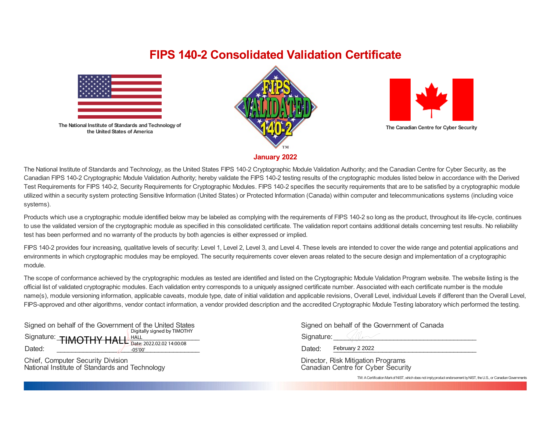## **FIPS 140-2 Consolidated Validation Certificate**



**The National Institute of Standards and Technology of the United States of America**





**The Canadian Centre for Cyber Security**

**January 2022**

The National Institute of Standards and Technology, as the United States FIPS 140-2 Cryptographic Module Validation Authority; and the Canadian Centre for Cyber Security, as the Canadian FIPS 140-2 Cryptographic Module Validation Authority; hereby validate the FIPS 140-2 testing results of the cryptographic modules listed below in accordance with the Derived Test Requirements for FIPS 140-2, Security Requirements for Cryptographic Modules. FIPS 140-2 specifies the security requirements that are to be satisfied by a cryptographic module utilized within a security system protecting Sensitive Information (United States) or Protected Information (Canada) within computer and telecommunications systems (including voice systems).

Products which use a cryptographic module identified below may be labeled as complying with the requirements of FIPS 140-2 so long as the product, throughout its life-cycle, continues to use the validated version of the cryptographic module as specified in this consolidated certificate. The validation report contains additional details concerning test results. No reliability test has been performed and no warranty of the products by both agencies is either expressed or implied.

FIPS 140-2 provides four increasing, qualitative levels of security: Level 1, Level 2, Level 3, and Level 4. These levels are intended to cover the wide range and potential applications and environments in which cryptographic modules may be employed. The security requirements cover eleven areas related to the secure design and implementation of a cryptographic module.

The scope of conformance achieved by the cryptographic modules as tested are identified and listed on the Cryptographic Module Validation Program website. The website listing is the official list of validated cryptographic modules. Each validation entry corresponds to a uniquely assigned certificate number. Associated with each certificate number is the module name(s), module versioning information, applicable caveats, module type, date of initial validation and applicable revisions, Overall Level, individual Levels if different than the Overall Level, FIPS-approved and other algorithms, vendor contact information, a vendor provided description and the accredited Cryptographic Module Testing laboratory which performed the testing.

| Signed on behalf of the Government of the United States |                             |  |
|---------------------------------------------------------|-----------------------------|--|
|                                                         | Digitally signed by TIMOTHY |  |
| Signature: TIMOTHY HALL Bate: 2022.02.02 14:00:08       |                             |  |
|                                                         |                             |  |
| Dated:                                                  | $-05'00'$                   |  |

Chief, Computer Security Division National Institute of Standards and Technology

|  | Signed on behalf of the Government of Canada |  |
|--|----------------------------------------------|--|
|  |                                              |  |

Signature: Dated: February 2 2022

Director, Risk Mitigation Programs Canadian Centre for Cyber Security

TM: A Certification Mark of NIST, which does not imply product endorsement by NIST, the U.S., or Canadian Governments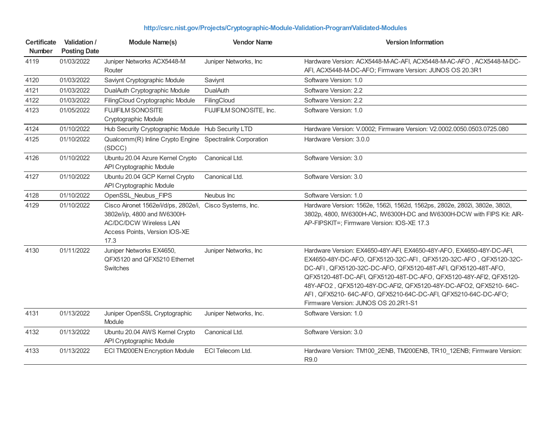| <b>Certificate</b><br><b>Number</b> | Validation /<br><b>Posting Date</b> | <b>Module Name(s)</b>                                                                                                                          | <b>Vendor Name</b>      | <b>Version Information</b>                                                                                                                                                                                                                                                                                                                                                                                                                                    |
|-------------------------------------|-------------------------------------|------------------------------------------------------------------------------------------------------------------------------------------------|-------------------------|---------------------------------------------------------------------------------------------------------------------------------------------------------------------------------------------------------------------------------------------------------------------------------------------------------------------------------------------------------------------------------------------------------------------------------------------------------------|
| 4119                                | 01/03/2022                          | Juniper Networks ACX5448-M<br>Router                                                                                                           | Juniper Networks, Inc.  | Hardware Version: ACX5448-M-AC-AFI, ACX5448-M-AC-AFO, ACX5448-M-DC-<br>AFI, ACX5448-M-DC-AFO; Firmware Version: JUNOS OS 20.3R1                                                                                                                                                                                                                                                                                                                               |
| 4120                                | 01/03/2022                          | Saviynt Cryptographic Module                                                                                                                   | Saviynt                 | Software Version: 1.0                                                                                                                                                                                                                                                                                                                                                                                                                                         |
| 4121                                | 01/03/2022                          | DualAuth Cryptographic Module                                                                                                                  | <b>DualAuth</b>         | Software Version: 2.2                                                                                                                                                                                                                                                                                                                                                                                                                                         |
| 4122                                | 01/03/2022                          | FilingCloud Cryptographic Module                                                                                                               | FilingCloud             | Software Version: 2.2                                                                                                                                                                                                                                                                                                                                                                                                                                         |
| 4123                                | 01/05/2022                          | <b>FUJIFILM SONOSITE</b><br>Cryptographic Module                                                                                               | FUJIFILM SONOSITE, Inc. | Software Version: 1.0                                                                                                                                                                                                                                                                                                                                                                                                                                         |
| 4124                                | 01/10/2022                          | Hub Security Cryptographic Module Hub Security LTD                                                                                             |                         | Hardware Version: V.0002; Firmware Version: V2.0002.0050.0503.0725.080                                                                                                                                                                                                                                                                                                                                                                                        |
| 4125                                | 01/10/2022                          | Qualcomm(R) Inline Crypto Engine Spectralink Corporation<br>(SDCC)                                                                             |                         | Hardware Version: 3.0.0                                                                                                                                                                                                                                                                                                                                                                                                                                       |
| 4126                                | 01/10/2022                          | Ubuntu 20.04 Azure Kernel Crypto<br>API Cryptographic Module                                                                                   | Canonical Ltd.          | Software Version: 3.0                                                                                                                                                                                                                                                                                                                                                                                                                                         |
| 4127                                | 01/10/2022                          | Ubuntu 20.04 GCP Kernel Crypto<br>API Cryptographic Module                                                                                     | Canonical Ltd.          | Software Version: 3.0                                                                                                                                                                                                                                                                                                                                                                                                                                         |
| 4128                                | 01/10/2022                          | OpenSSL Neubus FIPS                                                                                                                            | Neubus Inc              | Software Version: 1.0                                                                                                                                                                                                                                                                                                                                                                                                                                         |
| 4129                                | 01/10/2022                          | Cisco Aironet 1562e/i/d/ps, 2802e/i,<br>3802e/i/p, 4800 and IW6300H-<br><b>AC/DC/DCW Wireless LAN</b><br>Access Points, Version IOS-XE<br>17.3 | Cisco Systems, Inc.     | Hardware Version: 1562e, 1562i, 1562d, 1562ps, 2802e, 2802i, 3802e, 3802i,<br>3802p, 4800, IW6300H-AC, IW6300H-DC and IW6300H-DCW with FIPS Kit: AIR-<br>AP-FIPSKIT=; Firmware Version: IOS-XE 17.3                                                                                                                                                                                                                                                           |
| 4130                                | 01/11/2022                          | Juniper Networks EX4650,<br>QFX5120 and QFX5210 Ethernet<br><b>Switches</b>                                                                    | Juniper Networks, Inc.  | Hardware Version: EX4650-48Y-AFI, EX4650-48Y-AFO, EX4650-48Y-DC-AFI,<br>EX4650-48Y-DC-AFO, QFX5120-32C-AFI, QFX5120-32C-AFO, QFX5120-32C-<br>DC-AFI, QFX5120-32C-DC-AFO, QFX5120-48T-AFI, QFX5120-48T-AFO,<br>QFX5120-48T-DC-AFI, QFX5120-48T-DC-AFO, QFX5120-48Y-AFI2, QFX5120-<br>48Y-AFO2, QFX5120-48Y-DC-AFI2, QFX5120-48Y-DC-AFO2, QFX5210-64C-<br>AFI, QFX5210-64C-AFO, QFX5210-64C-DC-AFI, QFX5210-64C-DC-AFO;<br>Firmware Version: JUNOS OS 20.2R1-S1 |
| 4131                                | 01/13/2022                          | Juniper OpenSSL Cryptographic<br>Module                                                                                                        | Juniper Networks, Inc.  | Software Version: 1.0                                                                                                                                                                                                                                                                                                                                                                                                                                         |
| 4132                                | 01/13/2022                          | Ubuntu 20.04 AWS Kernel Crypto<br>API Cryptographic Module                                                                                     | Canonical Ltd.          | Software Version: 3.0                                                                                                                                                                                                                                                                                                                                                                                                                                         |
| 4133                                | 01/13/2022                          | ECI TM200EN Encryption Module                                                                                                                  | ECI Telecom Ltd.        | Hardware Version: TM100_2ENB, TM200ENB, TR10_12ENB; Firmware Version:<br>R9.0                                                                                                                                                                                                                                                                                                                                                                                 |

## **<http://csrc.nist.gov/Projects/Cryptographic-Module-Validation-Program/Validated-Modules>**